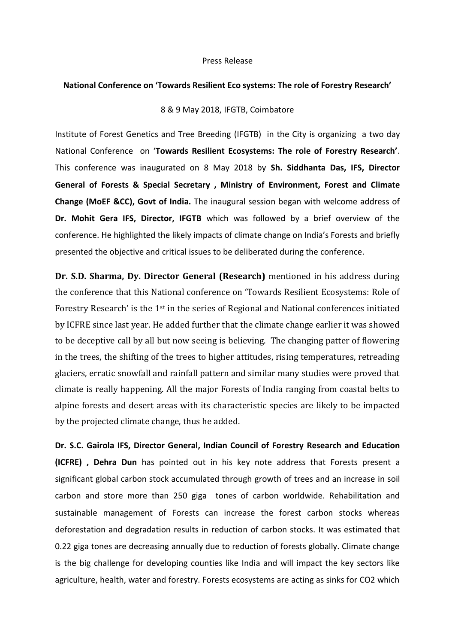## Press Release

## **National Conference on 'Towards Resilient Eco systems: The role of Forestry Research'**

## 8 & 9 May 2018, IFGTB, Coimbatore

Institute of Forest Genetics and Tree Breeding (IFGTB) in the City is organizing a two day National Conference on '**Towards Resilient Ecosystems: The role of Forestry Research'**. This conference was inaugurated on 8 May 2018 by **Sh. Siddhanta Das, IFS, Director General of Forests & Special Secretary , Ministry of Environment, Forest and Climate Change (MoEF &CC), Govt of India.** The inaugural session began with welcome address of **Dr. Mohit Gera IFS, Director, IFGTB** which was followed by a brief overview of the conference. He highlighted the likely impacts of climate change on India's Forests and briefly presented the objective and critical issues to be deliberated during the conference.

**Dr. S.D. Sharma, Dy. Director General (Research)** mentioned in his address during the conference that this National conference on 'Towards Resilient Ecosystems: Role of Forestry Research' is the 1st in the series of Regional and National conferences initiated by ICFRE since last year. He added further that the climate change earlier it was showed to be deceptive call by all but now seeing is believing. The changing patter of flowering in the trees, the shifting of the trees to higher attitudes, rising temperatures, retreading glaciers, erratic snowfall and rainfall pattern and similar many studies were proved that climate is really happening. All the major Forests of India ranging from coastal belts to alpine forests and desert areas with its characteristic species are likely to be impacted by the projected climate change, thus he added.

**Dr. S.C. Gairola IFS, Director General, Indian Council of Forestry Research and Education (ICFRE) , Dehra Dun** has pointed out in his key note address that Forests present a significant global carbon stock accumulated through growth of trees and an increase in soil carbon and store more than 250 giga tones of carbon worldwide. Rehabilitation and sustainable management of Forests can increase the forest carbon stocks whereas deforestation and degradation results in reduction of carbon stocks. It was estimated that 0.22 giga tones are decreasing annually due to reduction of forests globally. Climate change is the big challenge for developing counties like India and will impact the key sectors like agriculture, health, water and forestry. Forests ecosystems are acting as sinks for CO2 which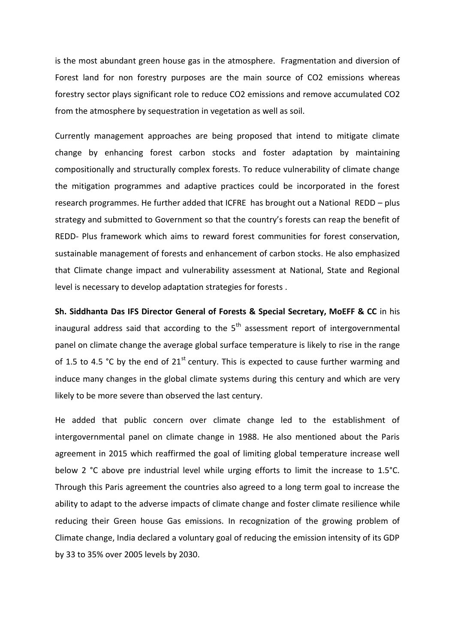is the most abundant green house gas in the atmosphere. Fragmentation and diversion of Forest land for non forestry purposes are the main source of CO2 emissions whereas forestry sector plays significant role to reduce CO2 emissions and remove accumulated CO2 from the atmosphere by sequestration in vegetation as well as soil.

Currently management approaches are being proposed that intend to mitigate climate change by enhancing forest carbon stocks and foster adaptation by maintaining compositionally and structurally complex forests. To reduce vulnerability of climate change the mitigation programmes and adaptive practices could be incorporated in the forest research programmes. He further added that ICFRE has brought out a National REDD – plus strategy and submitted to Government so that the country's forests can reap the benefit of REDD- Plus framework which aims to reward forest communities for forest conservation, sustainable management of forests and enhancement of carbon stocks. He also emphasized that Climate change impact and vulnerability assessment at National, State and Regional level is necessary to develop adaptation strategies for forests .

**Sh. Siddhanta Das IFS Director General of Forests & Special Secretary, MoEFF & CC** in his inaugural address said that according to the  $5<sup>th</sup>$  assessment report of intergovernmental panel on climate change the average global surface temperature is likely to rise in the range of 1.5 to 4.5 °C by the end of 21<sup>st</sup> century. This is expected to cause further warming and induce many changes in the global climate systems during this century and which are very likely to be more severe than observed the last century.

He added that public concern over climate change led to the establishment of intergovernmental panel on climate change in 1988. He also mentioned about the Paris agreement in 2015 which reaffirmed the goal of limiting global temperature increase well below 2 °C above pre industrial level while urging efforts to limit the increase to 1.5°C. Through this Paris agreement the countries also agreed to a long term goal to increase the ability to adapt to the adverse impacts of climate change and foster climate resilience while reducing their Green house Gas emissions. In recognization of the growing problem of Climate change, India declared a voluntary goal of reducing the emission intensity of its GDP by 33 to 35% over 2005 levels by 2030.